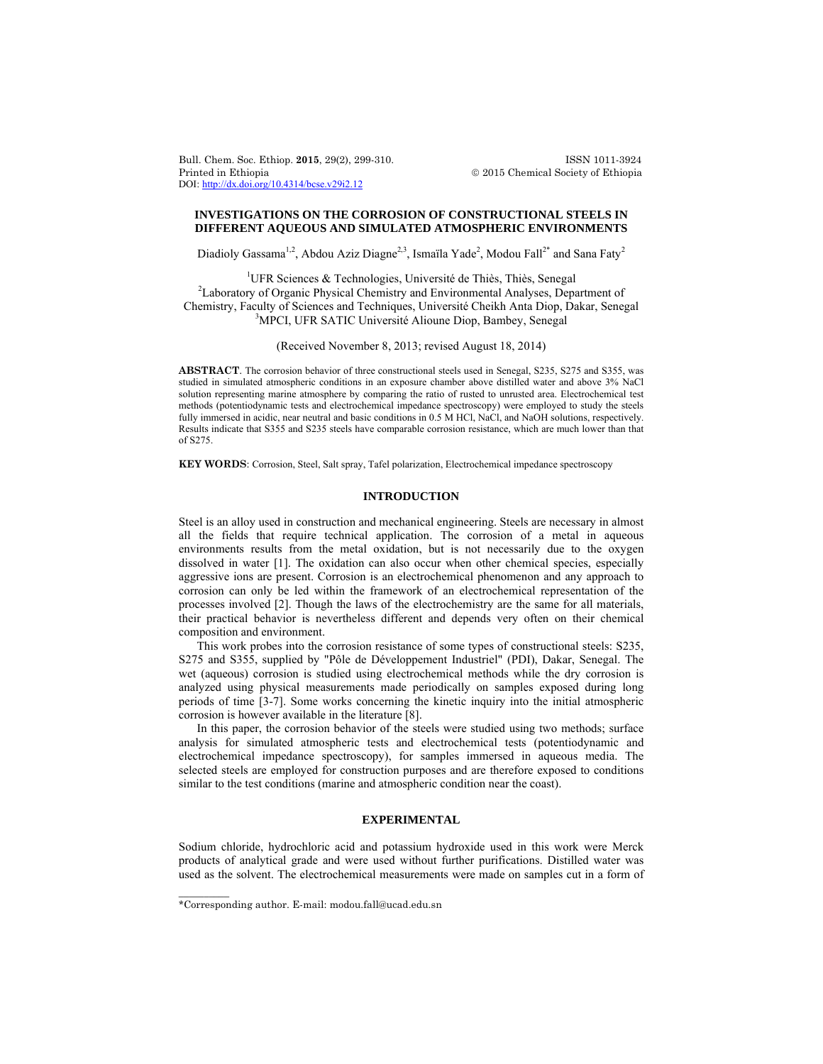Bull. Chem. Soc. Ethiop. **2015**, 29(2), 299-310. ISSN 1011-3924 Printed in Ethiopia 2015 Chemical Society of Ethiopia DOI: http://dx.doi.org/10.4314/bcse.v29i2.12

# **INVESTIGATIONS ON THE CORROSION OF CONSTRUCTIONAL STEELS IN DIFFERENT AQUEOUS AND SIMULATED ATMOSPHERIC ENVIRONMENTS**

Diadioly Gassama<sup>1,2</sup>, Abdou Aziz Diagne<sup>2,3</sup>, Ismaïla Yade<sup>2</sup>, Modou Fall<sup>2\*</sup> and Sana Faty<sup>2</sup>

<sup>1</sup>UFR Sciences & Technologies, Université de Thiès, Thiès, Senegal<br><sup>2</sup> charatori of Organic Physical Chamistry and Environmental Applicas, Depe <sup>2</sup>Laboratory of Organic Physical Chemistry and Environmental Analyses, Department of Chemistry, Faculty of Sciences and Techniques, Université Cheikh Anta Diop, Dakar, Senegal 3 <sup>3</sup>MPCI, UFR SATIC Université Alioune Diop, Bambey, Senegal

(Received November 8, 2013; revised August 18, 2014)

**ABSTRACT**. The corrosion behavior of three constructional steels used in Senegal, S235, S275 and S355, was studied in simulated atmospheric conditions in an exposure chamber above distilled water and above 3% NaCl solution representing marine atmosphere by comparing the ratio of rusted to unrusted area. Electrochemical test methods (potentiodynamic tests and electrochemical impedance spectroscopy) were employed to study the steels fully immersed in acidic, near neutral and basic conditions in 0.5 M HCl, NaCl, and NaOH solutions, respectively. Results indicate that S355 and S235 steels have comparable corrosion resistance, which are much lower than that of S275.

**KEY WORDS**: Corrosion, Steel, Salt spray, Tafel polarization, Electrochemical impedance spectroscopy

## **INTRODUCTION**

Steel is an alloy used in construction and mechanical engineering. Steels are necessary in almost all the fields that require technical application. The corrosion of a metal in aqueous environments results from the metal oxidation, but is not necessarily due to the oxygen dissolved in water [1]. The oxidation can also occur when other chemical species, especially aggressive ions are present. Corrosion is an electrochemical phenomenon and any approach to corrosion can only be led within the framework of an electrochemical representation of the processes involved [2]. Though the laws of the electrochemistry are the same for all materials, their practical behavior is nevertheless different and depends very often on their chemical composition and environment.

This work probes into the corrosion resistance of some types of constructional steels: S235, S275 and S355, supplied by "Pôle de Développement Industriel" (PDI), Dakar, Senegal. The wet (aqueous) corrosion is studied using electrochemical methods while the dry corrosion is analyzed using physical measurements made periodically on samples exposed during long periods of time [3-7]. Some works concerning the kinetic inquiry into the initial atmospheric corrosion is however available in the literature [8].

In this paper, the corrosion behavior of the steels were studied using two methods; surface analysis for simulated atmospheric tests and electrochemical tests (potentiodynamic and electrochemical impedance spectroscopy), for samples immersed in aqueous media. The selected steels are employed for construction purposes and are therefore exposed to conditions similar to the test conditions (marine and atmospheric condition near the coast).

## **EXPERIMENTAL**

Sodium chloride, hydrochloric acid and potassium hydroxide used in this work were Merck products of analytical grade and were used without further purifications. Distilled water was used as the solvent. The electrochemical measurements were made on samples cut in a form of

 $\overline{\phantom{a}}$ 

<sup>\*</sup>Corresponding author. E-mail: modou.fall@ucad.edu.sn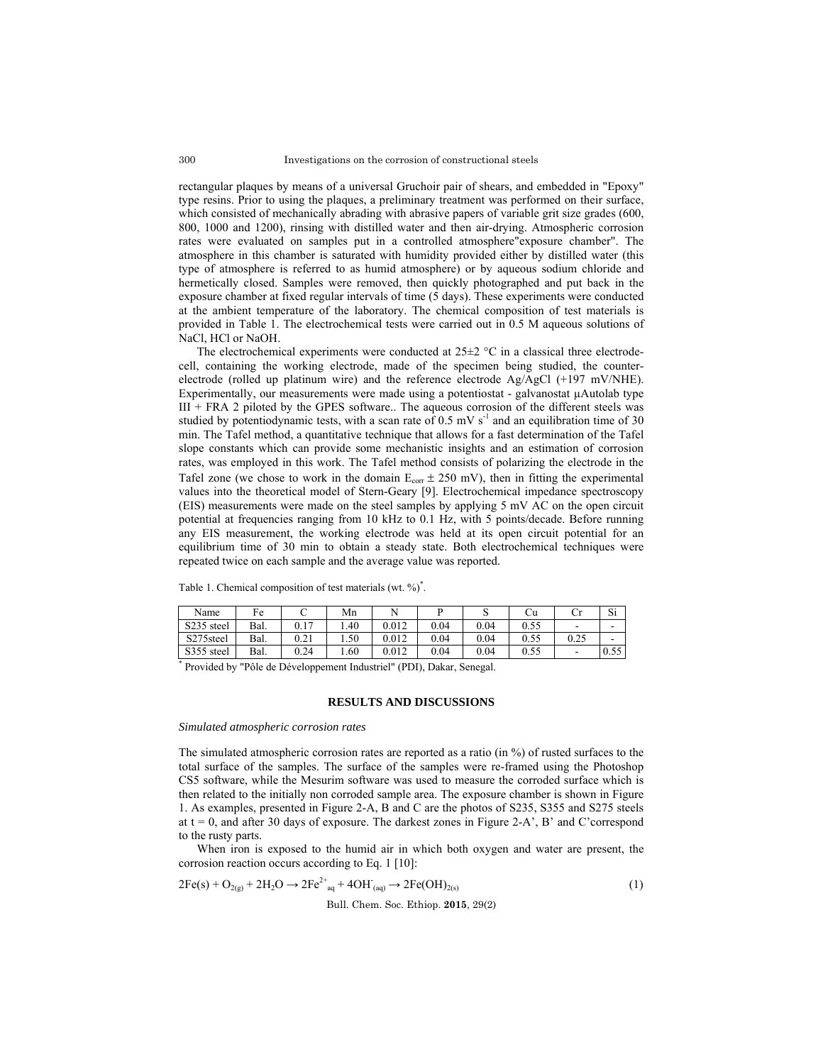rectangular plaques by means of a universal Gruchoir pair of shears, and embedded in "Epoxy" type resins. Prior to using the plaques, a preliminary treatment was performed on their surface, which consisted of mechanically abrading with abrasive papers of variable grit size grades (600, 800, 1000 and 1200), rinsing with distilled water and then air-drying. Atmospheric corrosion rates were evaluated on samples put in a controlled atmosphere"exposure chamber". The atmosphere in this chamber is saturated with humidity provided either by distilled water (this type of atmosphere is referred to as humid atmosphere) or by aqueous sodium chloride and hermetically closed. Samples were removed, then quickly photographed and put back in the exposure chamber at fixed regular intervals of time (5 days). These experiments were conducted at the ambient temperature of the laboratory. The chemical composition of test materials is provided in Table 1. The electrochemical tests were carried out in 0.5 M aqueous solutions of NaCl, HCl or NaOH.

The electrochemical experiments were conducted at  $25\pm2$  °C in a classical three electrodecell, containing the working electrode, made of the specimen being studied, the counterelectrode (rolled up platinum wire) and the reference electrode  $Ag/AgCl$  (+197 mV/NHE). Experimentally, our measurements were made using a potentiostat - galvanostat µAutolab type III + FRA 2 piloted by the GPES software.. The aqueous corrosion of the different steels was studied by potentiodynamic tests, with a scan rate of  $0.5$  mV s<sup>-1</sup> and an equilibration time of 30 min. The Tafel method, a quantitative technique that allows for a fast determination of the Tafel slope constants which can provide some mechanistic insights and an estimation of corrosion rates, was employed in this work. The Tafel method consists of polarizing the electrode in the Tafel zone (we chose to work in the domain  $E_{\text{corr}} \pm 250$  mV), then in fitting the experimental values into the theoretical model of Stern-Geary [9]. Electrochemical impedance spectroscopy (EIS) measurements were made on the steel samples by applying 5 mV AC on the open circuit potential at frequencies ranging from 10 kHz to 0.1 Hz, with 5 points/decade. Before running any EIS measurement, the working electrode was held at its open circuit potential for an equilibrium time of 30 min to obtain a steady state. Both electrochemical techniques were repeated twice on each sample and the average value was reported.

| Name       | Fe   |      | Mn   |       |      |      | Сu   | $\sim$ | Si   |
|------------|------|------|------|-------|------|------|------|--------|------|
| S235 steel | Bal. | 17   | .40  | 0.012 | 0.04 | 0.04 | 0.55 | -      | -    |
| S275steel  | Bal. | 0.21 | 1.50 | 0.012 | 0.04 | 0.04 | 0.55 | 0.25   | -    |
| S355 steel | Bal. | 0.24 | 1.60 | 0.012 | 0.04 | 0.04 | 0.55 | -      | 0.55 |

Table 1. Chemical composition of test materials (wt. %)<sup>\*</sup>.

\* Provided by "Pôle de Développement Industriel" (PDI), Dakar, Senegal.

## **RESULTS AND DISCUSSIONS**

#### *Simulated atmospheric corrosion rates*

The simulated atmospheric corrosion rates are reported as a ratio (in %) of rusted surfaces to the total surface of the samples. The surface of the samples were re-framed using the Photoshop CS5 software, while the Mesurim software was used to measure the corroded surface which is then related to the initially non corroded sample area. The exposure chamber is shown in Figure 1. As examples, presented in Figure 2-A, B and C are the photos of S235, S355 and S275 steels at  $t = 0$ , and after 30 days of exposure. The darkest zones in Figure 2-A', B' and C'correspond to the rusty parts.

When iron is exposed to the humid air in which both oxygen and water are present, the corrosion reaction occurs according to Eq. 1 [10]:

$$
2Fe(s) + O_{2(g)} + 2H_2O \rightarrow 2Fe^{2+}_{aq} + 4OH_{(aq)} \rightarrow 2Fe(OH)_{2(s)}
$$
 (1)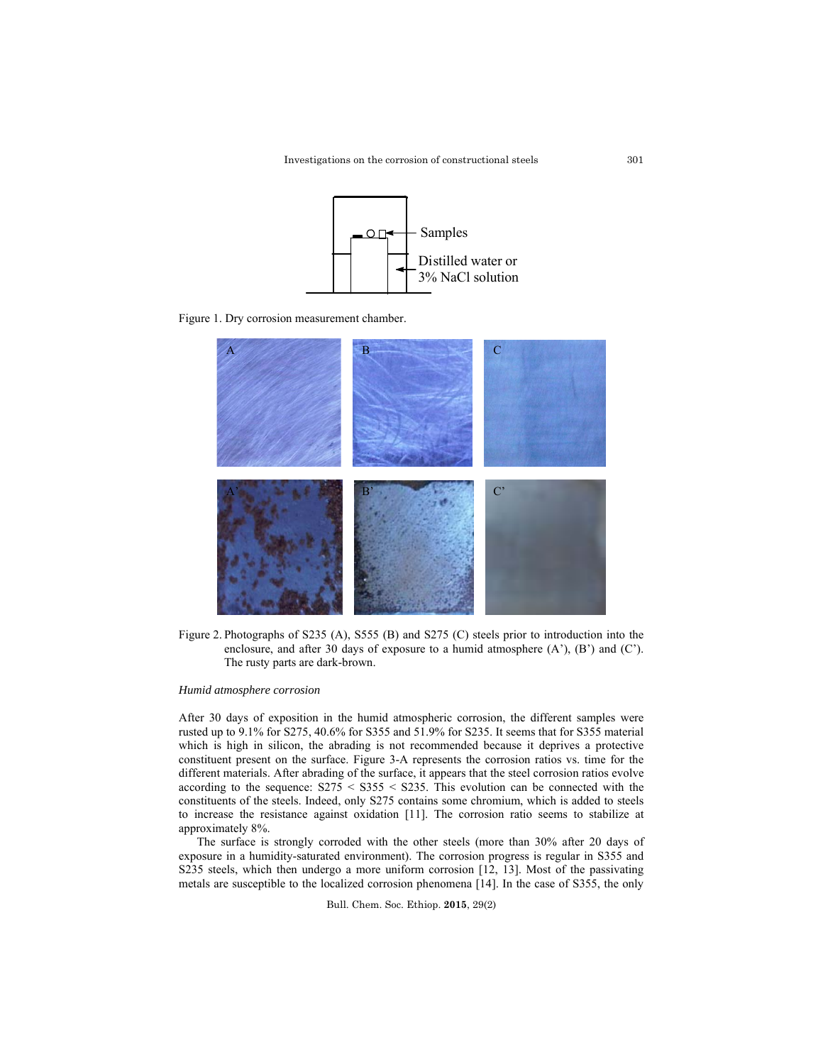

Figure 1. Dry corrosion measurement chamber.



Figure 2. Photographs of S235 (A), S555 (B) and S275 (C) steels prior to introduction into the enclosure, and after 30 days of exposure to a humid atmosphere (A'), (B') and (C'). The rusty parts are dark-brown.

#### *Humid atmosphere corrosion*

After 30 days of exposition in the humid atmospheric corrosion, the different samples were rusted up to 9.1% for S275, 40.6% for S355 and 51.9% for S235. It seems that for S355 material which is high in silicon, the abrading is not recommended because it deprives a protective constituent present on the surface. Figure 3-A represents the corrosion ratios vs. time for the different materials. After abrading of the surface, it appears that the steel corrosion ratios evolve according to the sequence:  $S275 < S355 < S235$ . This evolution can be connected with the constituents of the steels. Indeed, only S275 contains some chromium, which is added to steels to increase the resistance against oxidation [11]. The corrosion ratio seems to stabilize at approximately 8%.

The surface is strongly corroded with the other steels (more than 30% after 20 days of exposure in a humidity-saturated environment). The corrosion progress is regular in S355 and S235 steels, which then undergo a more uniform corrosion [12, 13]. Most of the passivating metals are susceptible to the localized corrosion phenomena [14]. In the case of S355, the only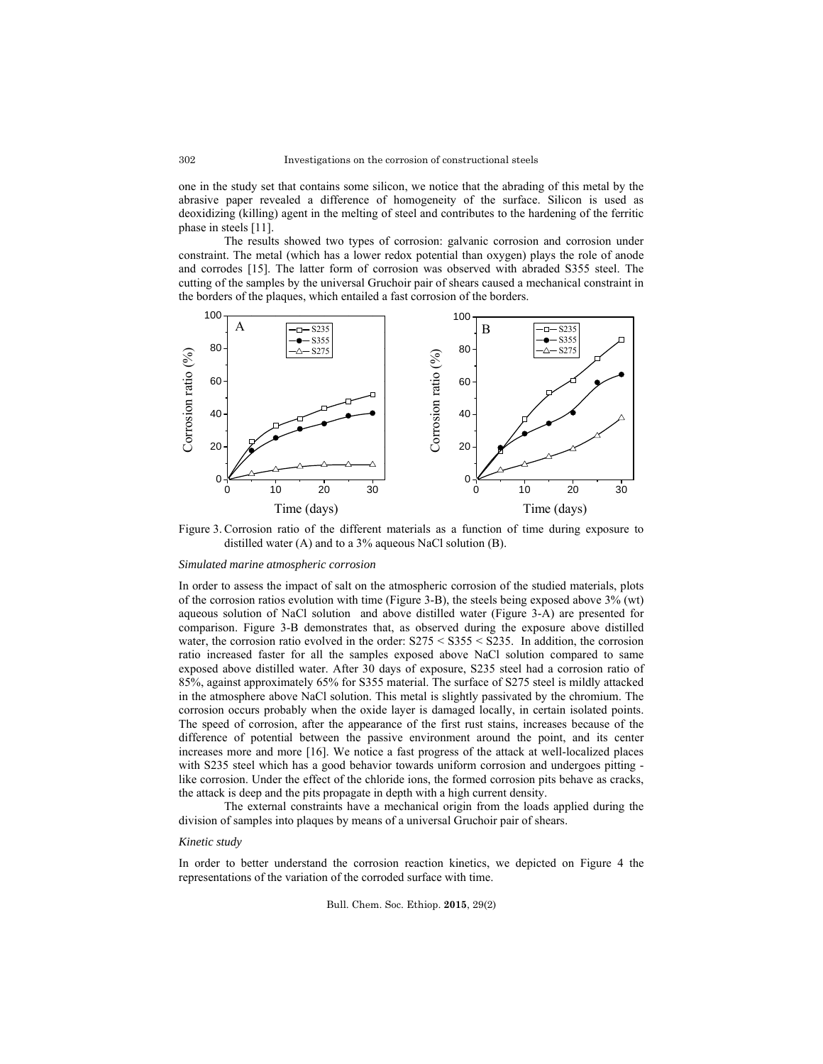one in the study set that contains some silicon, we notice that the abrading of this metal by the abrasive paper revealed a difference of homogeneity of the surface. Silicon is used as deoxidizing (killing) agent in the melting of steel and contributes to the hardening of the ferritic phase in steels [11].

 The results showed two types of corrosion: galvanic corrosion and corrosion under constraint. The metal (which has a lower redox potential than oxygen) plays the role of anode and corrodes [15]. The latter form of corrosion was observed with abraded S355 steel. The cutting of the samples by the universal Gruchoir pair of shears caused a mechanical constraint in the borders of the plaques, which entailed a fast corrosion of the borders.



Figure 3. Corrosion ratio of the different materials as a function of time during exposure to distilled water (A) and to a 3% aqueous NaCl solution (B).

#### *Simulated marine atmospheric corrosion*

In order to assess the impact of salt on the atmospheric corrosion of the studied materials, plots of the corrosion ratios evolution with time (Figure 3-B), the steels being exposed above 3% (wt) aqueous solution of NaCl solution and above distilled water (Figure 3-A) are presented for comparison. Figure 3-B demonstrates that, as observed during the exposure above distilled water, the corrosion ratio evolved in the order:  $S275 < S355 < S235$ . In addition, the corrosion ratio increased faster for all the samples exposed above NaCl solution compared to same exposed above distilled water. After 30 days of exposure, S235 steel had a corrosion ratio of 85%, against approximately 65% for S355 material. The surface of S275 steel is mildly attacked in the atmosphere above NaCl solution. This metal is slightly passivated by the chromium. The corrosion occurs probably when the oxide layer is damaged locally, in certain isolated points. The speed of corrosion, after the appearance of the first rust stains, increases because of the difference of potential between the passive environment around the point, and its center increases more and more [16]. We notice a fast progress of the attack at well-localized places with S235 steel which has a good behavior towards uniform corrosion and undergoes pitting like corrosion. Under the effect of the chloride ions, the formed corrosion pits behave as cracks, the attack is deep and the pits propagate in depth with a high current density.

 The external constraints have a mechanical origin from the loads applied during the division of samples into plaques by means of a universal Gruchoir pair of shears.

#### *Kinetic study*

In order to better understand the corrosion reaction kinetics, we depicted on Figure 4 the representations of the variation of the corroded surface with time.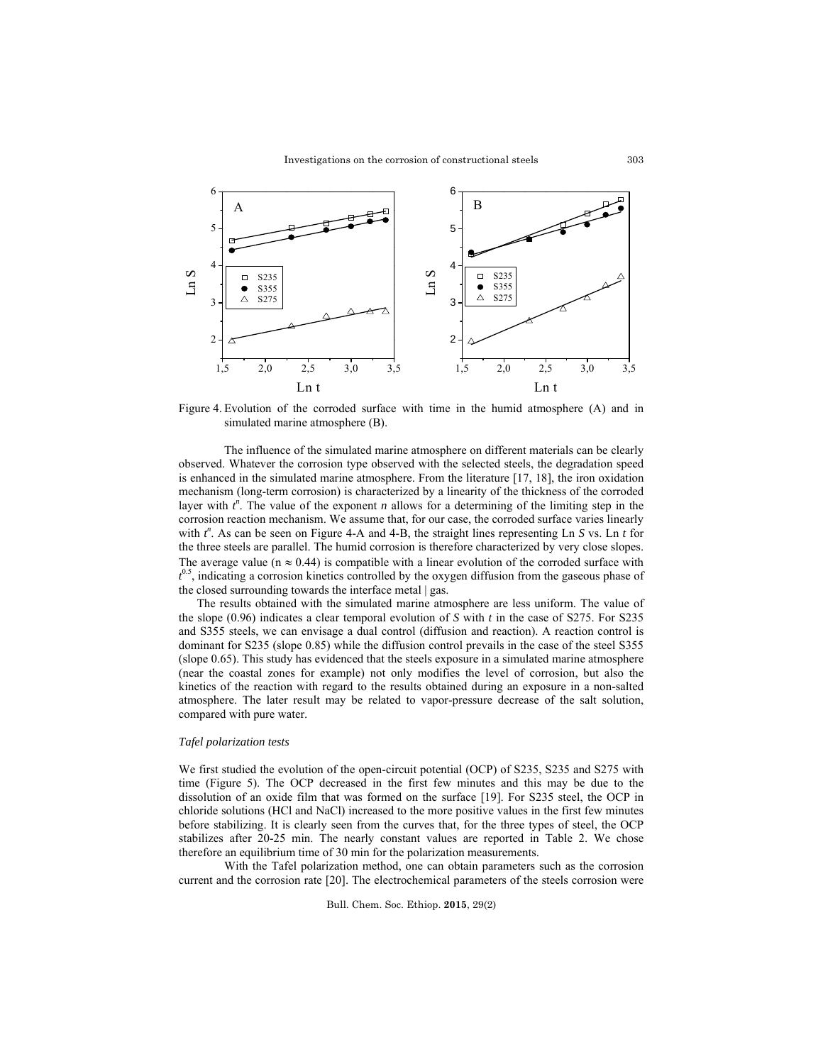

Figure 4. Evolution of the corroded surface with time in the humid atmosphere (A) and in simulated marine atmosphere (B).

 The influence of the simulated marine atmosphere on different materials can be clearly observed. Whatever the corrosion type observed with the selected steels, the degradation speed is enhanced in the simulated marine atmosphere. From the literature [17, 18], the iron oxidation mechanism (long-term corrosion) is characterized by a linearity of the thickness of the corroded layer with  $t^n$ . The value of the exponent *n* allows for a determining of the limiting step in the corrosion reaction mechanism. We assume that, for our case, the corroded surface varies linearly with  $t^n$ . As can be seen on Figure 4-A and 4-B, the straight lines representing Ln *S* vs. Ln *t* for the three steels are parallel. The humid corrosion is therefore characterized by very close slopes. The average value ( $n \approx 0.44$ ) is compatible with a linear evolution of the corroded surface with  $t^{0.5}$ , indicating a corrosion kinetics controlled by the oxygen diffusion from the gaseous phase of the closed surrounding towards the interface metal | gas.

The results obtained with the simulated marine atmosphere are less uniform. The value of the slope (0.96) indicates a clear temporal evolution of *S* with *t* in the case of S275. For S235 and S355 steels, we can envisage a dual control (diffusion and reaction). A reaction control is dominant for S235 (slope 0.85) while the diffusion control prevails in the case of the steel S355 (slope 0.65). This study has evidenced that the steels exposure in a simulated marine atmosphere (near the coastal zones for example) not only modifies the level of corrosion, but also the kinetics of the reaction with regard to the results obtained during an exposure in a non-salted atmosphere. The later result may be related to vapor-pressure decrease of the salt solution, compared with pure water.

### *Tafel polarization tests*

We first studied the evolution of the open-circuit potential (OCP) of S235, S235 and S275 with time (Figure 5). The OCP decreased in the first few minutes and this may be due to the dissolution of an oxide film that was formed on the surface [19]. For S235 steel, the OCP in chloride solutions (HCl and NaCl) increased to the more positive values in the first few minutes before stabilizing. It is clearly seen from the curves that, for the three types of steel, the OCP stabilizes after 20-25 min. The nearly constant values are reported in Table 2. We chose therefore an equilibrium time of 30 min for the polarization measurements.

 With the Tafel polarization method, one can obtain parameters such as the corrosion current and the corrosion rate [20]. The electrochemical parameters of the steels corrosion were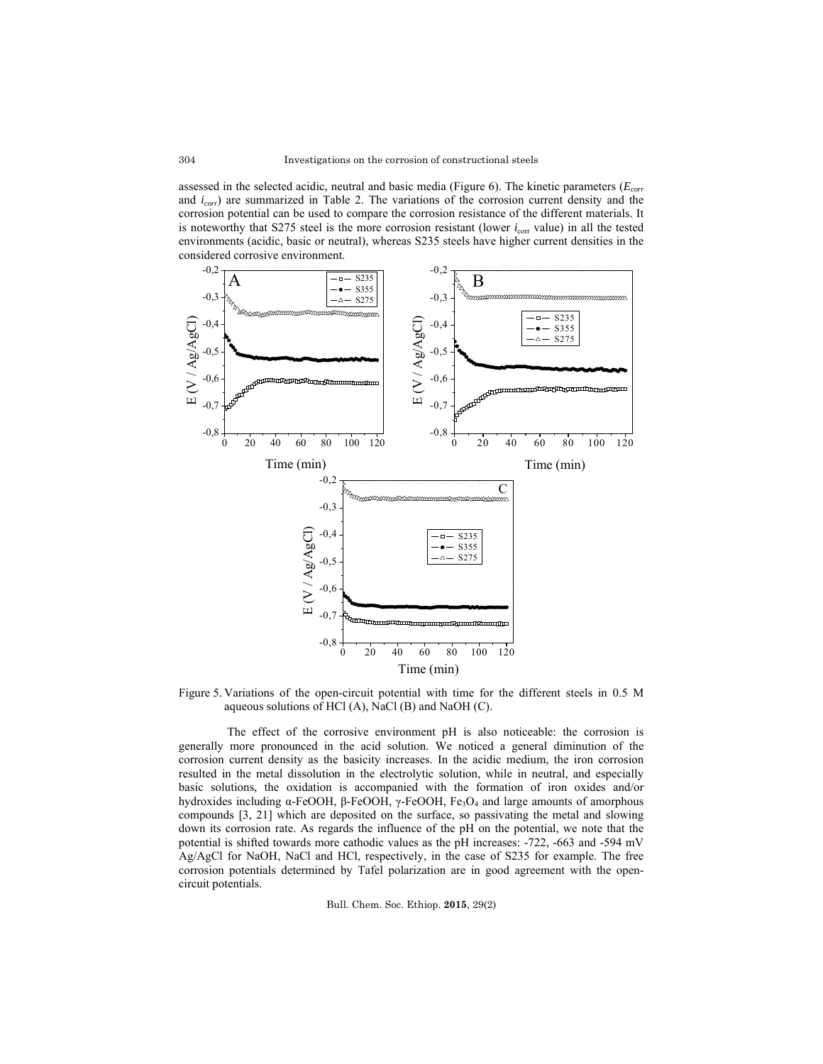assessed in the selected acidic, neutral and basic media (Figure 6). The kinetic parameters ( $E_{corr}$ and *icorr*) are summarized in Table 2. The variations of the corrosion current density and the corrosion potential can be used to compare the corrosion resistance of the different materials. It is noteworthy that S275 steel is the more corrosion resistant (lower  $i_{\text{corr}}$  value) in all the tested environments (acidic, basic or neutral), whereas S235 steels have higher current densities in the considered corrosive environment.



Figure 5. Variations of the open-circuit potential with time for the different steels in 0.5 M aqueous solutions of HCl (A), NaCl (B) and NaOH (C).

 The effect of the corrosive environment pH is also noticeable: the corrosion is generally more pronounced in the acid solution. We noticed a general diminution of the corrosion current density as the basicity increases. In the acidic medium, the iron corrosion resulted in the metal dissolution in the electrolytic solution, while in neutral, and especially basic solutions, the oxidation is accompanied with the formation of iron oxides and/or hydroxides including  $\alpha$ -FeOOH, β-FeOOH, γ-FeOOH, Fe<sub>3</sub>O<sub>4</sub> and large amounts of amorphous compounds [3, 21] which are deposited on the surface, so passivating the metal and slowing down its corrosion rate. As regards the influence of the pH on the potential, we note that the potential is shifted towards more cathodic values as the pH increases: -722, -663 and -594 mV Ag/AgCl for NaOH, NaCl and HCl, respectively, in the case of S235 for example. The free corrosion potentials determined by Tafel polarization are in good agreement with the opencircuit potentials.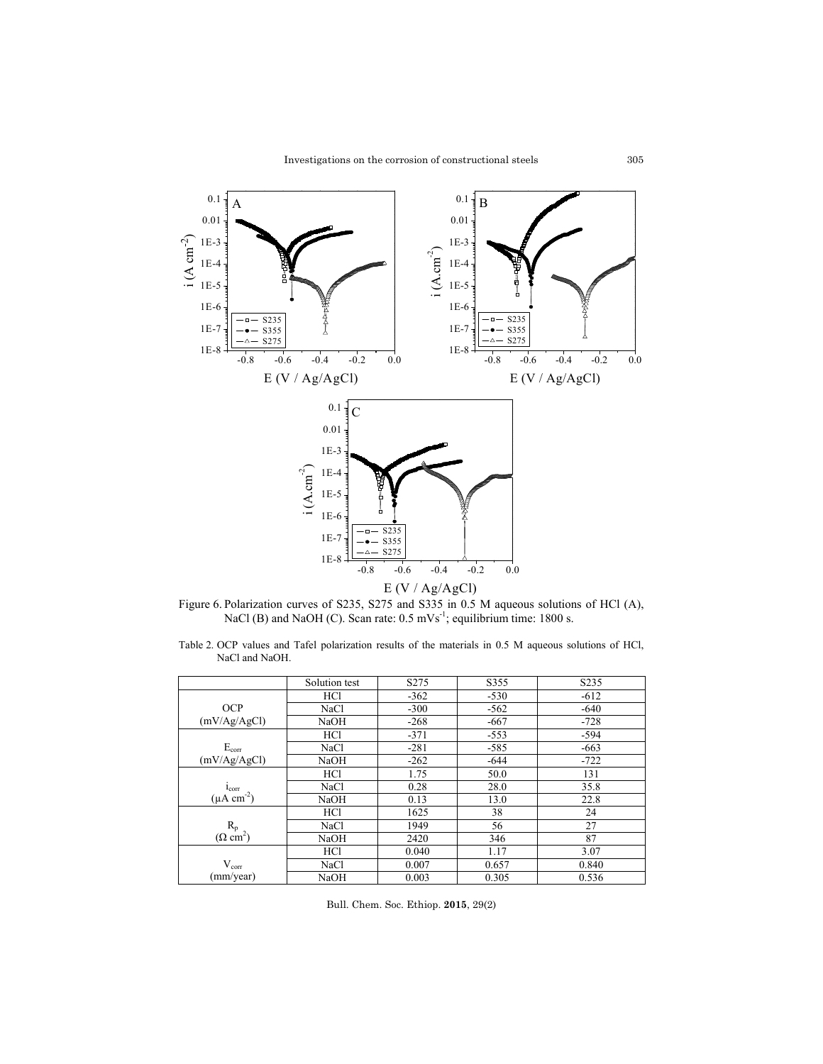

Figure 6. Polarization curves of S235, S275 and S335 in 0.5 M aqueous solutions of HCl (A), NaCl (B) and NaOH (C). Scan rate:  $0.5 \text{ mVs}^{-1}$ ; equilibrium time: 1800 s.

Table 2. OCP values and Tafel polarization results of the materials in 0.5 M aqueous solutions of HCl, NaCl and NaOH.

|                           | Solution test | S275   | S355   | S <sub>2</sub> 35 |
|---------------------------|---------------|--------|--------|-------------------|
|                           | <b>HCl</b>    | $-362$ | $-530$ | $-612$            |
| <b>OCP</b>                | NaCl          | $-300$ | $-562$ | $-640$            |
| (mV/Ag/AgCl)              | NaOH          | $-268$ | $-667$ | $-728$            |
|                           | <b>HCl</b>    | $-371$ | $-553$ | $-594$            |
| $E_{corr}$                | <b>NaCl</b>   | $-281$ | $-585$ | $-663$            |
| (mV/Ag/AgCl)              | NaOH          | $-262$ | $-644$ | $-722$            |
|                           | <b>HCl</b>    | 1.75   | 50.0   | 131               |
| $i_{corr}$                | NaCl          | 0.28   | 28.0   | 35.8              |
| $(\mu A \text{ cm}^{-2})$ | <b>NaOH</b>   | 0.13   | 13.0   | 22.8              |
|                           | <b>HCl</b>    | 1625   | 38     | 24                |
| $R_p$                     | NaCl          | 1949   | 56     | 27                |
| $(\Omega \text{ cm}^2)$   | <b>NaOH</b>   | 2420   | 346    | 87                |
|                           | <b>HCl</b>    | 0.040  | 1.17   | 3.07              |
| $V_{\rm corr}$            | NaCl          | 0.007  | 0.657  | 0.840             |
| (mm/year)                 | <b>NaOH</b>   | 0.003  | 0.305  | 0.536             |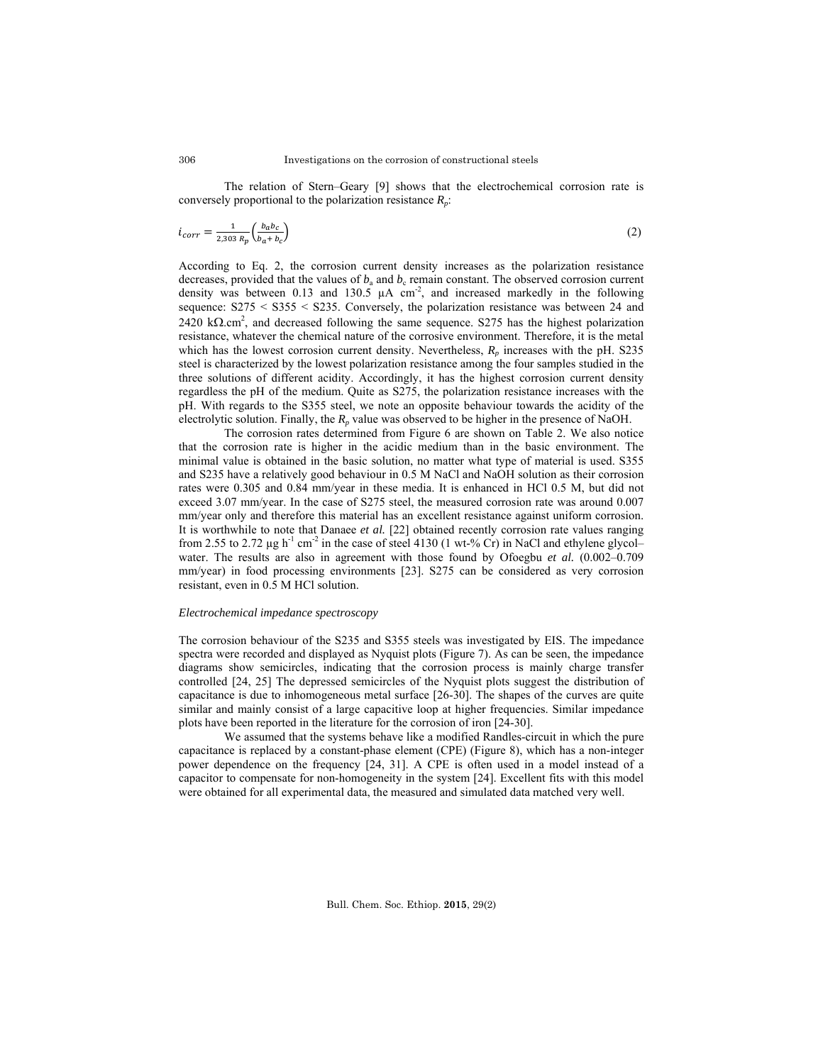The relation of Stern–Geary [9] shows that the electrochemical corrosion rate is conversely proportional to the polarization resistance *Rp*:

$$
i_{corr} = \frac{1}{2,303 R_p} \left( \frac{b_a b_c}{b_a + b_c} \right) \tag{2}
$$

According to Eq. 2, the corrosion current density increases as the polarization resistance decreases, provided that the values of  $b_a$  and  $b_c$  remain constant. The observed corrosion current density was between 0.13 and 130.5  $\mu$ A cm<sup>-2</sup>, and increased markedly in the following sequence: S275 < S355 < S235. Conversely, the polarization resistance was between 24 and  $2420 \text{ k}\Omega \cdot \text{cm}^2$ , and decreased following the same sequence. S275 has the highest polarization resistance, whatever the chemical nature of the corrosive environment. Therefore, it is the metal which has the lowest corrosion current density. Nevertheless,  $R_p$  increases with the pH. S235 steel is characterized by the lowest polarization resistance among the four samples studied in the three solutions of different acidity. Accordingly, it has the highest corrosion current density regardless the pH of the medium. Quite as S275, the polarization resistance increases with the pH. With regards to the S355 steel, we note an opposite behaviour towards the acidity of the electrolytic solution. Finally, the  $R_p$  value was observed to be higher in the presence of NaOH.

 The corrosion rates determined from Figure 6 are shown on Table 2. We also notice that the corrosion rate is higher in the acidic medium than in the basic environment. The minimal value is obtained in the basic solution, no matter what type of material is used. S355 and S235 have a relatively good behaviour in 0.5 M NaCl and NaOH solution as their corrosion rates were 0.305 and 0.84 mm/year in these media. It is enhanced in HCl 0.5 M, but did not exceed 3.07 mm/year. In the case of S275 steel, the measured corrosion rate was around 0.007 mm/year only and therefore this material has an excellent resistance against uniform corrosion. It is worthwhile to note that Danaee *et al.* [22] obtained recently corrosion rate values ranging from 2.55 to 2.72  $\mu$ g h<sup>-1</sup> cm<sup>-2</sup> in the case of steel 4130 (1 wt-% Cr) in NaCl and ethylene glycol– water. The results are also in agreement with those found by Ofoegbu *et al.* (0.002–0.709 mm/year) in food processing environments [23]. S275 can be considered as very corrosion resistant, even in 0.5 M HCl solution.

#### *Electrochemical impedance spectroscopy*

The corrosion behaviour of the S235 and S355 steels was investigated by EIS. The impedance spectra were recorded and displayed as Nyquist plots (Figure 7). As can be seen, the impedance diagrams show semicircles, indicating that the corrosion process is mainly charge transfer controlled [24, 25] The depressed semicircles of the Nyquist plots suggest the distribution of capacitance is due to inhomogeneous metal surface [26-30]. The shapes of the curves are quite similar and mainly consist of a large capacitive loop at higher frequencies. Similar impedance plots have been reported in the literature for the corrosion of iron [24-30].

 We assumed that the systems behave like a modified Randles-circuit in which the pure capacitance is replaced by a constant-phase element (CPE) (Figure 8), which has a non-integer power dependence on the frequency [24, 31]. A CPE is often used in a model instead of a capacitor to compensate for non-homogeneity in the system [24]. Excellent fits with this model were obtained for all experimental data, the measured and simulated data matched very well.

306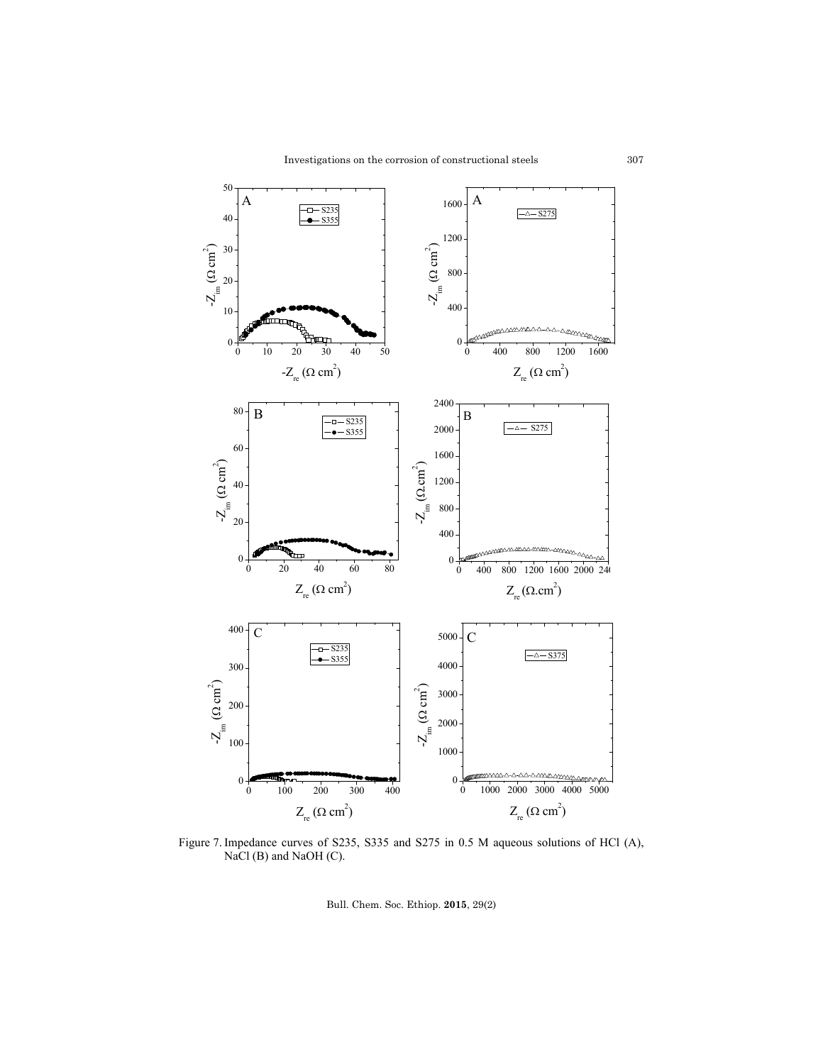

Figure 7. Impedance curves of S235, S335 and S275 in 0.5 M aqueous solutions of HCl (A), NaCl (B) and NaOH (C).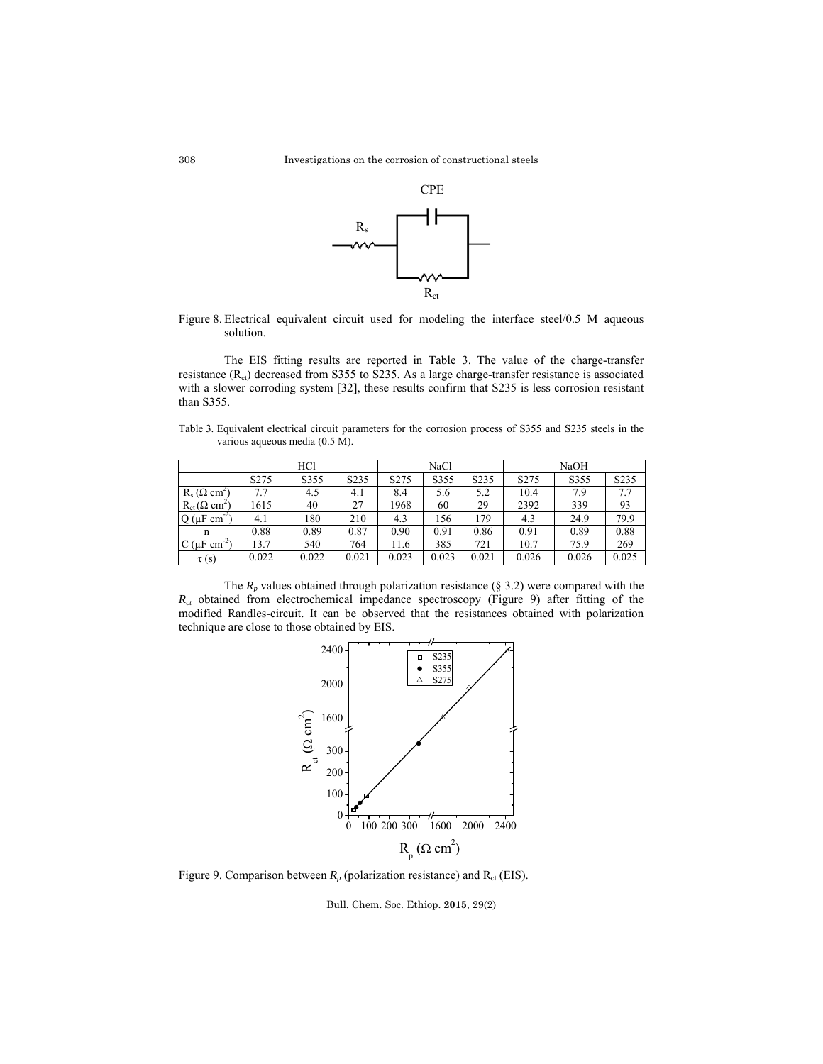

Figure 8. Electrical equivalent circuit used for modeling the interface steel/0.5 M aqueous solution.

 The EIS fitting results are reported in Table 3. The value of the charge-transfer resistance  $(R_{ct})$  decreased from S355 to S235. As a large charge-transfer resistance is associated with a slower corroding system [32], these results confirm that S235 is less corrosion resistant than S355.

Table 3. Equivalent electrical circuit parameters for the corrosion process of S355 and S235 steels in the various aqueous media (0.5 M).

|                               | HCl              |       |       | NaCl             |       |                   | <b>NaOH</b>      |       |       |  |
|-------------------------------|------------------|-------|-------|------------------|-------|-------------------|------------------|-------|-------|--|
|                               | S <sub>275</sub> | S355  | S235  | S <sub>275</sub> | S355  | S <sub>2</sub> 35 | S <sub>275</sub> | S355  | S235  |  |
| $R_s(\Omega \text{ cm}^2)$    | 7.7              | 4.5   | 4.1   | 8.4              | 5.6   | 5.2               | 10.4             | 7.9   | 7.7   |  |
| $R_{ct}(\Omega \text{ cm}^2)$ | 1615             | 40    | 27    | 1968             | 60    | 29                | 2392             | 339   | 93    |  |
| $Q(\mu F \text{ cm}^{-1})$    | 4.1              | 180   | 210   | 4.3              | 156   | 179               | 4.3              | 24.9  | 79.9  |  |
| n                             | 0.88             | 0.89  | 0.87  | 0.90             | 0.91  | 0.86              | 0.91             | 0.89  | 0.88  |  |
| $C(\mu F cm)$                 | 13.7             | 540   | 764   | 11.6             | 385   | 721               | 10.7             | 75.9  | 269   |  |
| $\tau(s)$                     | 0.022            | 0.022 | 0.021 | 0.023            | 0.023 | 0.021             | 0.026            | 0.026 | 0.025 |  |

The  $R_p$  values obtained through polarization resistance (§ 3.2) were compared with the  $R_{ct}$  obtained from electrochemical impedance spectroscopy (Figure 9) after fitting of the modified Randles-circuit. It can be observed that the resistances obtained with polarization technique are close to those obtained by EIS.



Figure 9. Comparison between  $R_p$  (polarization resistance) and  $R_{ct}$  (EIS).

Bull. Chem. Soc. Ethiop. **2015**, 29(2)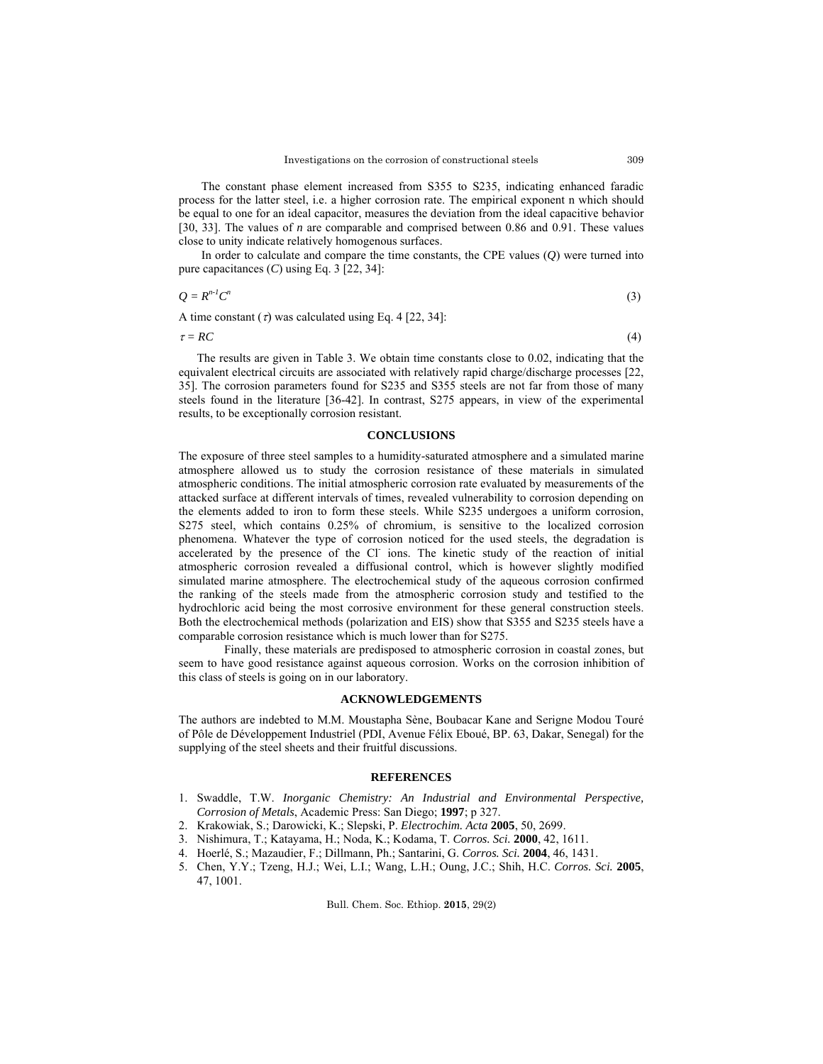The constant phase element increased from S355 to S235, indicating enhanced faradic process for the latter steel, i.e. a higher corrosion rate. The empirical exponent n which should be equal to one for an ideal capacitor, measures the deviation from the ideal capacitive behavior [30, 33]. The values of *n* are comparable and comprised between 0.86 and 0.91. These values close to unity indicate relatively homogenous surfaces.

In order to calculate and compare the time constants, the CPE values (*Q*) were turned into pure capacitances (*C*) using Eq. 3 [22, 34]:

$$
Q = R^{n-l}C^n \tag{3}
$$

A time constant  $\sigma$  was calculated using Eq. 4 [22, 34]:

 $\tau = RC$  (4)

The results are given in Table 3. We obtain time constants close to 0.02, indicating that the equivalent electrical circuits are associated with relatively rapid charge/discharge processes [22, 35]. The corrosion parameters found for S235 and S355 steels are not far from those of many steels found in the literature [36-42]. In contrast, S275 appears, in view of the experimental results, to be exceptionally corrosion resistant.

#### **CONCLUSIONS**

The exposure of three steel samples to a humidity-saturated atmosphere and a simulated marine atmosphere allowed us to study the corrosion resistance of these materials in simulated atmospheric conditions. The initial atmospheric corrosion rate evaluated by measurements of the attacked surface at different intervals of times, revealed vulnerability to corrosion depending on the elements added to iron to form these steels. While S235 undergoes a uniform corrosion, S275 steel, which contains 0.25% of chromium, is sensitive to the localized corrosion phenomena. Whatever the type of corrosion noticed for the used steels, the degradation is accelerated by the presence of the Cl ions. The kinetic study of the reaction of initial atmospheric corrosion revealed a diffusional control, which is however slightly modified simulated marine atmosphere. The electrochemical study of the aqueous corrosion confirmed the ranking of the steels made from the atmospheric corrosion study and testified to the hydrochloric acid being the most corrosive environment for these general construction steels. Both the electrochemical methods (polarization and EIS) show that S355 and S235 steels have a comparable corrosion resistance which is much lower than for S275.

 Finally, these materials are predisposed to atmospheric corrosion in coastal zones, but seem to have good resistance against aqueous corrosion. Works on the corrosion inhibition of this class of steels is going on in our laboratory.

## **ACKNOWLEDGEMENTS**

The authors are indebted to M.M. Moustapha Sène, Boubacar Kane and Serigne Modou Touré of Pôle de Développement Industriel (PDI, Avenue Félix Eboué, BP. 63, Dakar, Senegal) for the supplying of the steel sheets and their fruitful discussions.

## **REFERENCES**

- 1. Swaddle, T.W. *Inorganic Chemistry: An Industrial and Environmental Perspective, Corrosion of Metals*, Academic Press: San Diego; **1997**; p 327.
- 2. Krakowiak, S.; Darowicki, K.; Slepski, P. *Electrochim. Acta* **2005**, 50, 2699.
- 3. Nishimura, T.; Katayama, H.; Noda, K.; Kodama, T. *Corros. Sci.* **2000**, 42, 1611.
- 4. Hoerlé, S.; Mazaudier, F.; Dillmann, Ph.; Santarini, G. *Corros. Sci.* **2004**, 46, 1431.
- 5. Chen, Y.Y.; Tzeng, H.J.; Wei, L.I.; Wang, L.H.; Oung, J.C.; Shih, H.C. *Corros. Sci.* **2005**, 47, 1001.